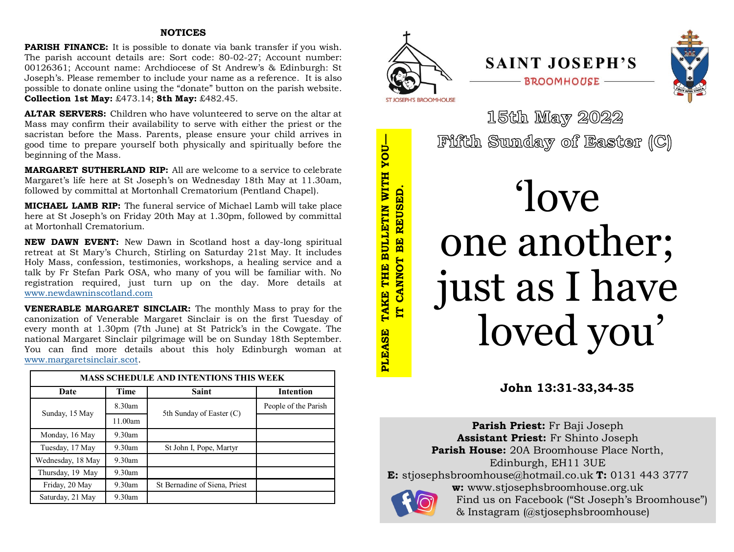# **NOTICES**

**PARISH FINANCE:** It is possible to donate via bank transfer if you wish. The parish account details are: Sort code: 80-02-27; Account number: 00126361; Account name: Archdiocese of St Andrew's & Edinburgh: St Joseph's. Please remember to include your name as a reference. It is also possible to donate online using the "donate" button on the parish website. **Collection 1st May:** £473.14; **8th May:** £482.45.

**ALTAR SERVERS:** Children who have volunteered to serve on the altar at Mass may confirm their availability to serve with either the priest or the sacristan before the Mass. Parents, please ensure your child arrives in good time to prepare yourself both physically and spiritually before the beginning of the Mass.

**MARGARET SUTHERLAND RIP:** All are welcome to a service to celebrate Margaret's life here at St Joseph's on Wednesday 18th May at 11.30am, followed by committal at Mortonhall Crematorium (Pentland Chapel).

**MICHAEL LAMB RIP:** The funeral service of Michael Lamb will take place here at St Joseph's on Friday 20th May at 1.30pm, followed by committal at Mortonhall Crematorium.

**NEW DAWN EVENT:** New Dawn in Scotland host a day-long spiritual retreat at St Mary's Church, Stirling on Saturday 21st May. It includes Holy Mass, confession, testimonies, workshops, a healing service and a talk by Fr Stefan Park OSA, who many of you will be familiar with. No registration required, just turn up on the day. More details at [www.newdawninscotland.com](http://www.newdawninscotland.com)

**VENERABLE MARGARET SINCLAIR:** The monthly Mass to pray for the canonization of Venerable Margaret Sinclair is on the first Tuesday of every month at 1.30pm (7th June) at St Patrick's in the Cowgate. The national Margaret Sinclair pilgrimage will be on Sunday 18th September. You can find more details about this holy Edinburgh woman at [www.margaretsinclair.scot.](http://www.margaretsinclair.scot)

| <b>MASS SCHEDULE AND INTENTIONS THIS WEEK</b> |           |                               |                      |  |
|-----------------------------------------------|-----------|-------------------------------|----------------------|--|
| Date                                          | Time      | <b>Saint</b>                  | <b>Intention</b>     |  |
| Sunday, 15 May                                | $8.30$ am | 5th Sunday of Easter (C)      | People of the Parish |  |
|                                               | 11.00am   |                               |                      |  |
| Monday, 16 May                                | $9.30$ am |                               |                      |  |
| Tuesday, 17 May                               | $9.30$ am | St John I, Pope, Martyr       |                      |  |
| Wednesday, 18 May                             | $9.30$ am |                               |                      |  |
| Thursday, 19 May                              | $9.30$ am |                               |                      |  |
| Friday, 20 May                                | $9.30$ am | St Bernadine of Siena, Priest |                      |  |
| Saturday, 21 May                              | $9.30$ am |                               |                      |  |







15th May 2022 Fifth Sunday of Easter (C)

# 'love one another; just as I have loved you'

**John 13:31-33,34-35**

**Parish Priest:** Fr Baji Joseph **Assistant Priest:** Fr Shinto Joseph **Parish House:** 20A Broomhouse Place North, Edinburgh, EH11 3UE **E:** stjosephsbroomhouse@hotmail.co.uk **T:** 0131 443 3777 **w:** www.stjosephsbroomhouse.org.uk Find us on Facebook ("St Joseph's Broomhouse") & Instagram (@stjosephsbroomhouse)

TAKE THE BULLETIN WITH YOU-**PLEASE TAKE THE BULLETIN WITH YOU** IT CANNOT BE REUSED. **PLEASE** 

**IT CANNOT BE REUSED.**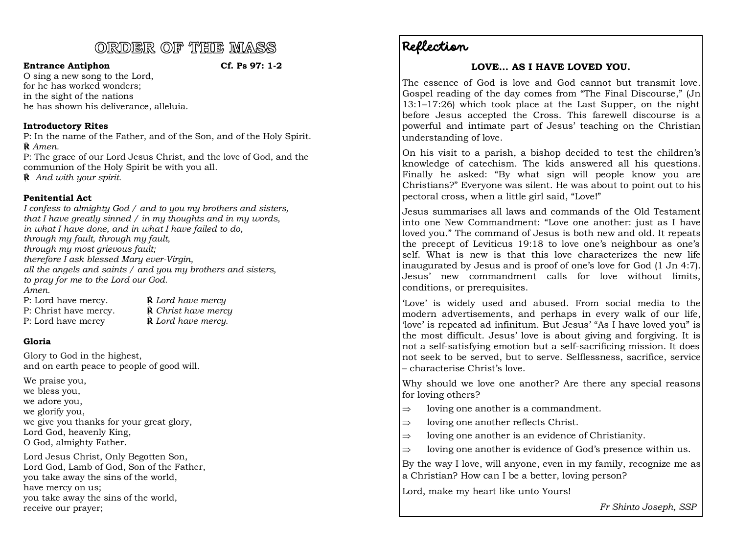# ORDER OF THE MASS

### **Entrance Antiphon Cf. Ps 97: 1-2**

O sing a new song to the Lord, for he has worked wonders; in the sight of the nations he has shown his deliverance, alleluia.

# **Introductory Rites**

P: In the name of the Father, and of the Son, and of the Holy Spirit. **℟** *Amen.*

P: The grace of our Lord Jesus Christ, and the love of God, and the communion of the Holy Spirit be with you all.

**℟** *And with your spirit.*

# **Penitential Act**

*I confess to almighty God / and to you my brothers and sisters, that I have greatly sinned / in my thoughts and in my words, in what I have done, and in what I have failed to do, through my fault, through my fault, through my most grievous fault; therefore I ask blessed Mary ever-Virgin, all the angels and saints / and you my brothers and sisters, to pray for me to the Lord our God. Amen.*

| P: Lord have mercy.   | $\dot{\mathbf{R}}$ Lord have mercy   |
|-----------------------|--------------------------------------|
| P: Christ have mercy. | $\dot{\mathbf{R}}$ Christ have mercy |
| P: Lord have mercy    | $\hat{\mathbf{R}}$ Lord have mercy.  |

# **Gloria**

Glory to God in the highest, and on earth peace to people of good will.

We praise you, we bless you, we adore you, we glorify you, we give you thanks for your great glory, Lord God, heavenly King, O God, almighty Father.

Lord Jesus Christ, Only Begotten Son, Lord God, Lamb of God, Son of the Father, you take away the sins of the world, have mercy on us; you take away the sins of the world, receive our prayer;

Reflection

# **LOVE… AS I HAVE LOVED YOU.**

The essence of God is love and God cannot but transmit love. Gospel reading of the day comes from "The Final Discourse," (Jn 13:1–17:26) which took place at the Last Supper, on the night before Jesus accepted the Cross. This farewell discourse is a powerful and intimate part of Jesus' teaching on the Christian understanding of love.

On his visit to a parish, a bishop decided to test the children's knowledge of catechism. The kids answered all his questions. Finally he asked: "By what sign will people know you are Christians?" Everyone was silent. He was about to point out to his pectoral cross, when a little girl said, "Love!"

Jesus summarises all laws and commands of the Old Testament into one New Commandment: "Love one another: just as I have loved you." The command of Jesus is both new and old. It repeats the precept of Leviticus 19:18 to love one's neighbour as one's self. What is new is that this love characterizes the new life inaugurated by Jesus and is proof of one's love for God (1 Jn 4:7). Jesus' new commandment calls for love without limits, conditions, or prerequisites.

'Love' is widely used and abused. From social media to the modern advertisements, and perhaps in every walk of our life, 'love' is repeated ad infinitum. But Jesus' "As I have loved you" is the most difficult. Jesus' love is about giving and forgiving. It is not a self-satisfying emotion but a self-sacrificing mission. It does not seek to be served, but to serve. Selflessness, sacrifice, service – characterise Christ's love.

Why should we love one another? Are there any special reasons for loving others?

- $\Rightarrow$  loving one another is a commandment.
- $\Rightarrow$  loving one another reflects Christ.
- $\Rightarrow$  loving one another is an evidence of Christianity.
- $\Rightarrow$  loving one another is evidence of God's presence within us.

By the way I love, will anyone, even in my family, recognize me as a Christian? How can I be a better, loving person?

Lord, make my heart like unto Yours!

*Fr Shinto Joseph, SSP*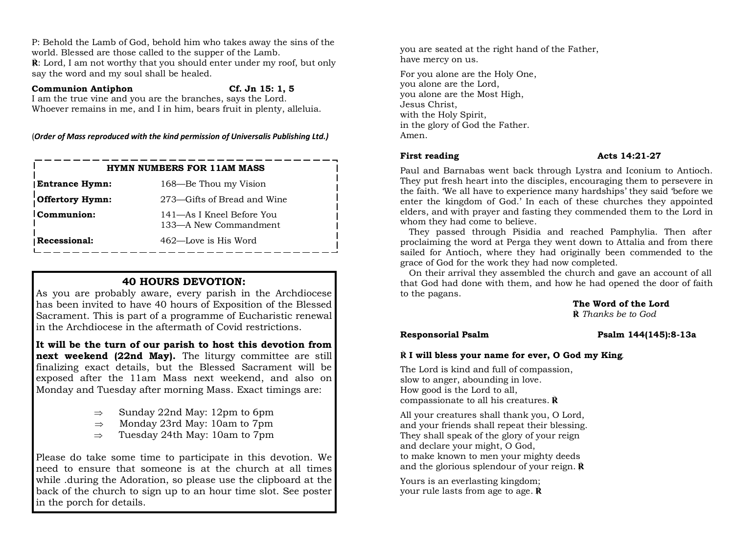P: Behold the Lamb of God, behold him who takes away the sins of the world. Blessed are those called to the supper of the Lamb.

**℟**: Lord, I am not worthy that you should enter under my roof, but only say the word and my soul shall be healed.

### **Communion Antiphon Cf. Jn 15: 1, 5**

I am the true vine and you are the branches, says the Lord. Whoever remains in me, and I in him, bears fruit in plenty, alleluia.

(*Order of Mass reproduced with the kind permission of Universalis Publishing Ltd.)*

| <b>HYMN NUMBERS FOR 11AM MASS</b> |                                                    |  |  |
|-----------------------------------|----------------------------------------------------|--|--|
| <b>Entrance Hymn:</b>             | 168-Be Thou my Vision                              |  |  |
| Offertory Hymn:                   | 273—Gifts of Bread and Wine                        |  |  |
| Communion:                        | 141—As I Kneel Before You<br>133-A New Commandment |  |  |
| Recessional:                      | 462—Love is His Word                               |  |  |

# **40 HOURS DEVOTION:**

As you are probably aware, every parish in the Archdiocese has been invited to have 40 hours of Exposition of the Blessed Sacrament. This is part of a programme of Eucharistic renewal in the Archdiocese in the aftermath of Covid restrictions.

**It will be the turn of our parish to host this devotion from**  next weekend (22nd May). The liturgy committee are still finalizing exact details, but the Blessed Sacrament will be exposed after the 11am Mass next weekend, and also on Monday and Tuesday after morning Mass. Exact timings are:

- $\Rightarrow$  Sunday 22nd May: 12pm to 6pm
- $\Rightarrow$  Monday 23rd May: 10am to 7pm
- $\Rightarrow$  Tuesday 24th May: 10am to 7pm

Please do take some time to participate in this devotion. We need to ensure that someone is at the church at all times while .during the Adoration, so please use the clipboard at the back of the church to sign up to an hour time slot. See poster in the porch for details.

you are seated at the right hand of the Father, have mercy on us.

For you alone are the Holy One, you alone are the Lord, you alone are the Most High, Jesus Christ, with the Holy Spirit, in the glory of God the Father. Amen.

### **First reading Acts 14:21-27**

Paul and Barnabas went back through Lystra and Iconium to Antioch. They put fresh heart into the disciples, encouraging them to persevere in the faith. 'We all have to experience many hardships' they said 'before we enter the kingdom of God.' In each of these churches they appointed elders, and with prayer and fasting they commended them to the Lord in whom they had come to believe.

They passed through Pisidia and reached Pamphylia. Then after proclaiming the word at Perga they went down to Attalia and from there sailed for Antioch, where they had originally been commended to the grace of God for the work they had now completed.

On their arrival they assembled the church and gave an account of all that God had done with them, and how he had opened the door of faith to the pagans.

**The Word of the Lord ℟** *Thanks be to God*

# **Responsorial Psalm Psalm 144(145):8-13a**

# **℟ I will bless your name for ever, O God my King***.*

The Lord is kind and full of compassion, slow to anger, abounding in love. How good is the Lord to all, compassionate to all his creatures. **℟**

All your creatures shall thank you, O Lord, and your friends shall repeat their blessing. They shall speak of the glory of your reign and declare your might, O God, to make known to men your mighty deeds and the glorious splendour of your reign. **℟**

Yours is an everlasting kingdom; your rule lasts from age to age. **℟**